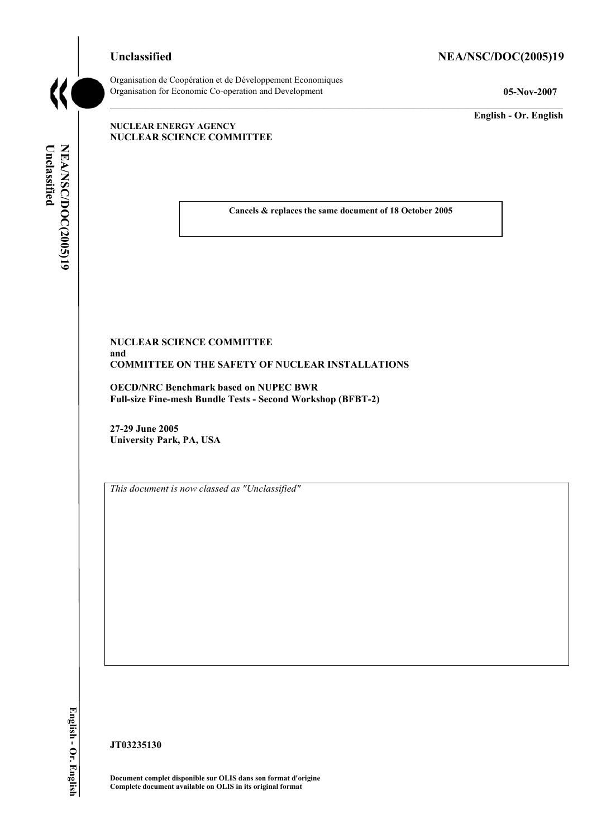# Unclassified NEA/NSC/DOC(2005)19



Organisation de CoopÈration et de DÈveloppement Economiques Organisation for Economic Co-operation and Development **05-Nov-2007** 

**English - Or. English** 

#### **NUCLEAR ENERGY AGENCY NUCLEAR SCIENCE COMMITTEE**

Unclassified NEA/NSC/DOC(2005)19 **Unclassified NEA/NSC/DOC(2005)19 English - Or. English** 

**Cancels & replaces the same document of 18 October 2005** 

## **NUCLEAR SCIENCE COMMITTEE and COMMITTEE ON THE SAFETY OF NUCLEAR INSTALLATIONS**

**OECD/NRC Benchmark based on NUPEC BWR Full-size Fine-mesh Bundle Tests - Second Workshop (BFBT-2)** 

**27-29 June 2005 University Park, PA, USA** 

*This document is now classed as "Unclassified"* 

**JT03235130** 

**Document complet disponible sur OLIS dans son format d'origine Complete document available on OLIS in its original format**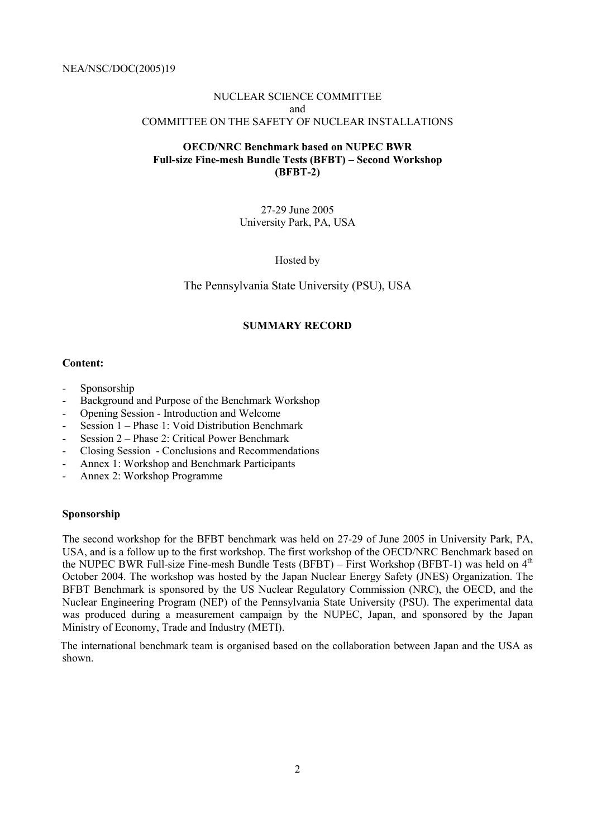# NUCLEAR SCIENCE COMMITTEE and COMMITTEE ON THE SAFETY OF NUCLEAR INSTALLATIONS

# **OECD/NRC Benchmark based on NUPEC BWR**  Full-size Fine-mesh Bundle Tests (BFBT) – Second Workshop **(BFBT-2)**

27-29 June 2005 University Park, PA, USA

Hosted by

The Pennsylvania State University (PSU), USA

## **SUMMARY RECORD**

#### **Content:**

- Sponsorship
- Background and Purpose of the Benchmark Workshop
- Opening Session Introduction and Welcome
- Session  $1$  Phase 1: Void Distribution Benchmark
- Session  $2$  Phase 2: Critical Power Benchmark
- Closing Session Conclusions and Recommendations
- Annex 1: Workshop and Benchmark Participants
- Annex 2: Workshop Programme

#### **Sponsorship**

The second workshop for the BFBT benchmark was held on 27-29 of June 2005 in University Park, PA, USA, and is a follow up to the first workshop. The first workshop of the OECD/NRC Benchmark based on the NUPEC BWR Full-size Fine-mesh Bundle Tests (BFBT) – First Workshop (BFBT-1) was held on  $4<sup>th</sup>$ October 2004. The workshop was hosted by the Japan Nuclear Energy Safety (JNES) Organization. The BFBT Benchmark is sponsored by the US Nuclear Regulatory Commission (NRC), the OECD, and the Nuclear Engineering Program (NEP) of the Pennsylvania State University (PSU). The experimental data was produced during a measurement campaign by the NUPEC, Japan, and sponsored by the Japan Ministry of Economy, Trade and Industry (METI).

 The international benchmark team is organised based on the collaboration between Japan and the USA as shown.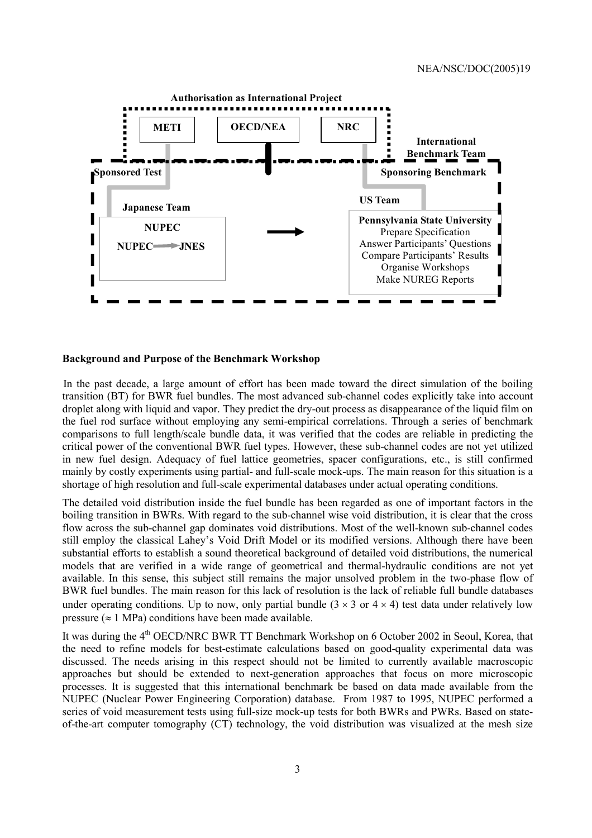

#### **Background and Purpose of the Benchmark Workshop**

 In the past decade, a large amount of effort has been made toward the direct simulation of the boiling transition (BT) for BWR fuel bundles. The most advanced sub-channel codes explicitly take into account droplet along with liquid and vapor. They predict the dry-out process as disappearance of the liquid film on the fuel rod surface without employing any semi-empirical correlations. Through a series of benchmark comparisons to full length/scale bundle data, it was verified that the codes are reliable in predicting the critical power of the conventional BWR fuel types. However, these sub-channel codes are not yet utilized in new fuel design. Adequacy of fuel lattice geometries, spacer configurations, etc., is still confirmed mainly by costly experiments using partial- and full-scale mock-ups. The main reason for this situation is a shortage of high resolution and full-scale experimental databases under actual operating conditions.

The detailed void distribution inside the fuel bundle has been regarded as one of important factors in the boiling transition in BWRs. With regard to the sub-channel wise void distribution, it is clear that the cross flow across the sub-channel gap dominates void distributions. Most of the well-known sub-channel codes still employ the classical Lahey's Void Drift Model or its modified versions. Although there have been substantial efforts to establish a sound theoretical background of detailed void distributions, the numerical models that are verified in a wide range of geometrical and thermal-hydraulic conditions are not yet available. In this sense, this subject still remains the major unsolved problem in the two-phase flow of BWR fuel bundles. The main reason for this lack of resolution is the lack of reliable full bundle databases under operating conditions. Up to now, only partial bundle  $(3 \times 3 \text{ or } 4 \times 4)$  test data under relatively low pressure ( $\approx 1$  MPa) conditions have been made available.

It was during the 4<sup>th</sup> OECD/NRC BWR TT Benchmark Workshop on 6 October 2002 in Seoul, Korea, that the need to refine models for best-estimate calculations based on good-quality experimental data was discussed. The needs arising in this respect should not be limited to currently available macroscopic approaches but should be extended to next-generation approaches that focus on more microscopic processes. It is suggested that this international benchmark be based on data made available from the NUPEC (Nuclear Power Engineering Corporation) database. From 1987 to 1995, NUPEC performed a series of void measurement tests using full-size mock-up tests for both BWRs and PWRs. Based on stateof-the-art computer tomography (CT) technology, the void distribution was visualized at the mesh size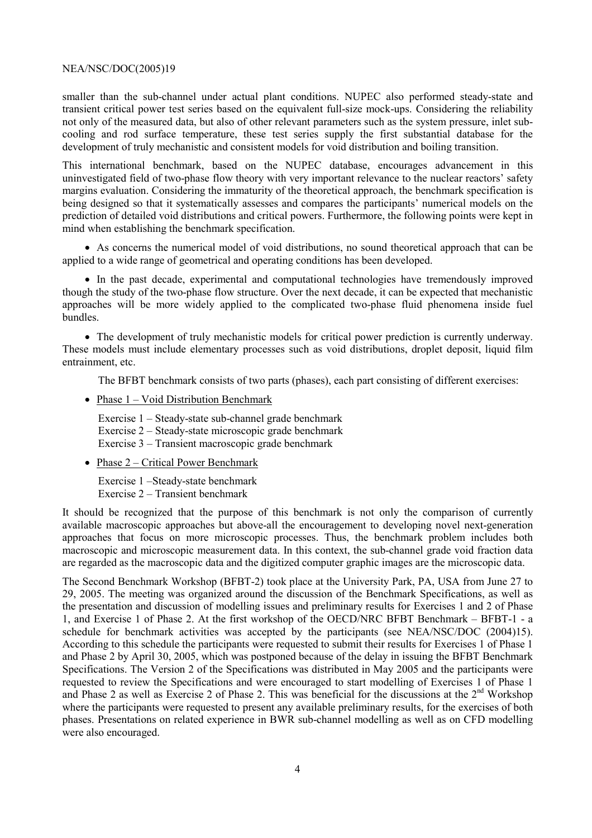smaller than the sub-channel under actual plant conditions. NUPEC also performed steady-state and transient critical power test series based on the equivalent full-size mock-ups. Considering the reliability not only of the measured data, but also of other relevant parameters such as the system pressure, inlet subcooling and rod surface temperature, these test series supply the first substantial database for the development of truly mechanistic and consistent models for void distribution and boiling transition.

This international benchmark, based on the NUPEC database, encourages advancement in this uninvestigated field of two-phase flow theory with very important relevance to the nuclear reactors' safety margins evaluation. Considering the immaturity of the theoretical approach, the benchmark specification is being designed so that it systematically assesses and compares the participants' numerical models on the prediction of detailed void distributions and critical powers. Furthermore, the following points were kept in mind when establishing the benchmark specification.

• As concerns the numerical model of void distributions, no sound theoretical approach that can be applied to a wide range of geometrical and operating conditions has been developed.

• In the past decade, experimental and computational technologies have tremendously improved though the study of the two-phase flow structure. Over the next decade, it can be expected that mechanistic approaches will be more widely applied to the complicated two-phase fluid phenomena inside fuel bundles.

• The development of truly mechanistic models for critical power prediction is currently underway. These models must include elementary processes such as void distributions, droplet deposit, liquid film entrainment, etc.

The BFBT benchmark consists of two parts (phases), each part consisting of different exercises:

• Phase  $1 -$  Void Distribution Benchmark

Exercise  $1 - Steady-state sub-channel grade benchmark$ Exercise  $2 - Steadv-state$  microscopic grade benchmark Exercise  $3 -$ Transient macroscopic grade benchmark

• Phase  $2$  – Critical Power Benchmark

Exercise 1 -Steady-state benchmark Exercise  $2 -$ Transient benchmark

It should be recognized that the purpose of this benchmark is not only the comparison of currently available macroscopic approaches but above-all the encouragement to developing novel next-generation approaches that focus on more microscopic processes. Thus, the benchmark problem includes both macroscopic and microscopic measurement data. In this context, the sub-channel grade void fraction data are regarded as the macroscopic data and the digitized computer graphic images are the microscopic data.

The Second Benchmark Workshop (BFBT-2) took place at the University Park, PA, USA from June 27 to 29, 2005. The meeting was organized around the discussion of the Benchmark Specifications, as well as the presentation and discussion of modelling issues and preliminary results for Exercises 1 and 2 of Phase 1, and Exercise 1 of Phase 2. At the first workshop of the OECD/NRC BFBT Benchmark – BFBT-1 - a schedule for benchmark activities was accepted by the participants (see NEA/NSC/DOC (2004)15). According to this schedule the participants were requested to submit their results for Exercises 1 of Phase 1 and Phase 2 by April 30, 2005, which was postponed because of the delay in issuing the BFBT Benchmark Specifications. The Version 2 of the Specifications was distributed in May 2005 and the participants were requested to review the Specifications and were encouraged to start modelling of Exercises 1 of Phase 1 and Phase 2 as well as Exercise 2 of Phase 2. This was beneficial for the discussions at the  $2<sup>nd</sup>$  Workshop where the participants were requested to present any available preliminary results, for the exercises of both phases. Presentations on related experience in BWR sub-channel modelling as well as on CFD modelling were also encouraged.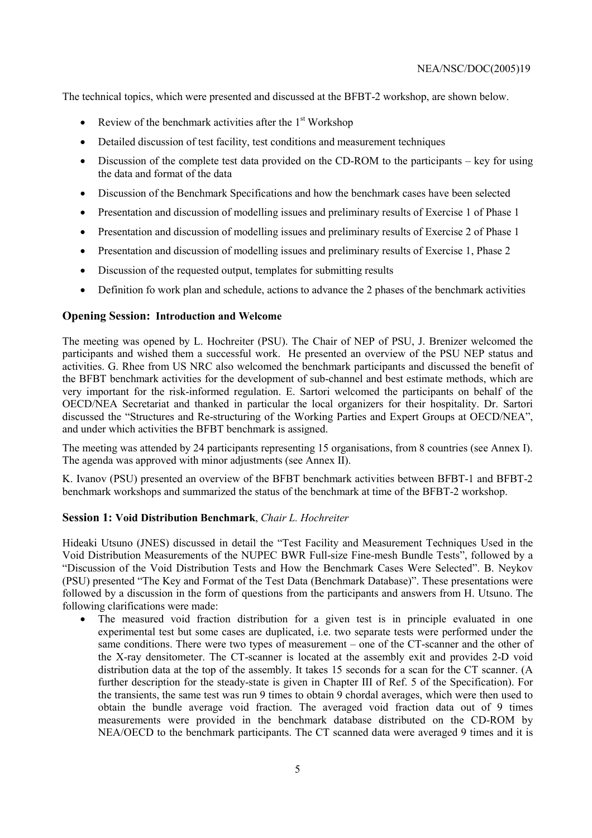The technical topics, which were presented and discussed at the BFBT-2 workshop, are shown below.

- Review of the benchmark activities after the  $1<sup>st</sup>$  Workshop
- Detailed discussion of test facility, test conditions and measurement techniques
- Discussion of the complete test data provided on the CD-ROM to the participants  $-$  key for using the data and format of the data
- Discussion of the Benchmark Specifications and how the benchmark cases have been selected
- Presentation and discussion of modelling issues and preliminary results of Exercise 1 of Phase 1
- Presentation and discussion of modelling issues and preliminary results of Exercise 2 of Phase 1
- Presentation and discussion of modelling issues and preliminary results of Exercise 1, Phase 2
- Discussion of the requested output, templates for submitting results
- Definition fo work plan and schedule, actions to advance the 2 phases of the benchmark activities

# **Opening Session: Introduction and Welcome**

The meeting was opened by L. Hochreiter (PSU). The Chair of NEP of PSU, J. Brenizer welcomed the participants and wished them a successful work. He presented an overview of the PSU NEP status and activities. G. Rhee from US NRC also welcomed the benchmark participants and discussed the benefit of the BFBT benchmark activities for the development of sub-channel and best estimate methods, which are very important for the risk-informed regulation. E. Sartori welcomed the participants on behalf of the OECD/NEA Secretariat and thanked in particular the local organizers for their hospitality. Dr. Sartori discussed the "Structures and Re-structuring of the Working Parties and Expert Groups at OECD/NEA", and under which activities the BFBT benchmark is assigned.

The meeting was attended by 24 participants representing 15 organisations, from 8 countries (see Annex I). The agenda was approved with minor adjustments (see Annex II).

K. Ivanov (PSU) presented an overview of the BFBT benchmark activities between BFBT-1 and BFBT-2 benchmark workshops and summarized the status of the benchmark at time of the BFBT-2 workshop.

# **Session 1: Void Distribution Benchmark**, *Chair L. Hochreiter*

Hideaki Utsuno (JNES) discussed in detail the "Test Facility and Measurement Techniques Used in the Void Distribution Measurements of the NUPEC BWR Full-size Fine-mesh Bundle Tests", followed by a ìDiscussion of the Void Distribution Tests and How the Benchmark Cases Were Selectedî. B. Neykov (PSU) presented "The Key and Format of the Test Data (Benchmark Database)". These presentations were followed by a discussion in the form of questions from the participants and answers from H. Utsuno. The following clarifications were made:

• The measured void fraction distribution for a given test is in principle evaluated in one experimental test but some cases are duplicated, i.e. two separate tests were performed under the same conditions. There were two types of measurement – one of the CT-scanner and the other of the X-ray densitometer. The CT-scanner is located at the assembly exit and provides 2-D void distribution data at the top of the assembly. It takes 15 seconds for a scan for the CT scanner. (A further description for the steady-state is given in Chapter III of Ref. 5 of the Specification). For the transients, the same test was run 9 times to obtain 9 chordal averages, which were then used to obtain the bundle average void fraction. The averaged void fraction data out of 9 times measurements were provided in the benchmark database distributed on the CD-ROM by NEA/OECD to the benchmark participants. The CT scanned data were averaged 9 times and it is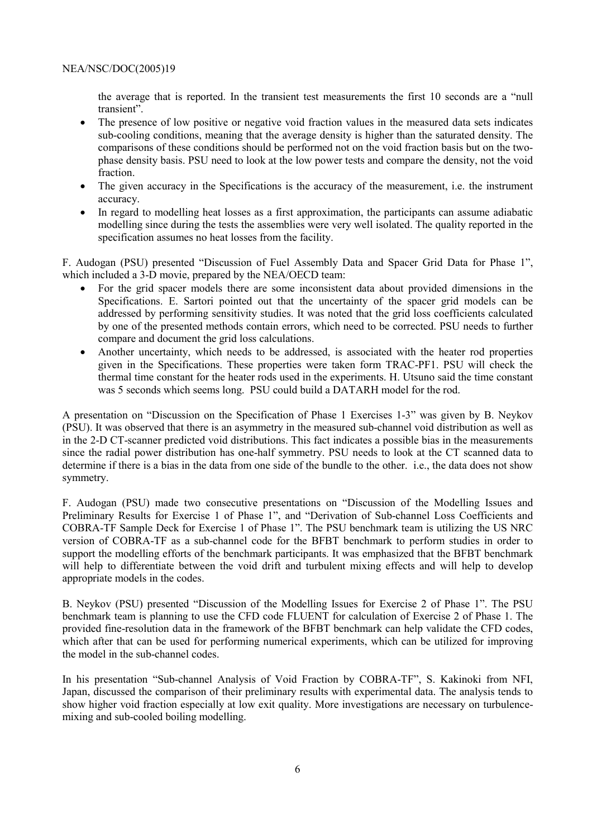the average that is reported. In the transient test measurements the first  $10$  seconds are a "null transient".

- The presence of low positive or negative void fraction values in the measured data sets indicates sub-cooling conditions, meaning that the average density is higher than the saturated density. The comparisons of these conditions should be performed not on the void fraction basis but on the twophase density basis. PSU need to look at the low power tests and compare the density, not the void fraction.
- The given accuracy in the Specifications is the accuracy of the measurement, i.e. the instrument accuracy.
- In regard to modelling heat losses as a first approximation, the participants can assume adiabatic modelling since during the tests the assemblies were very well isolated. The quality reported in the specification assumes no heat losses from the facility.

F. Audogan (PSU) presented "Discussion of Fuel Assembly Data and Spacer Grid Data for Phase 1", which included a 3-D movie, prepared by the NEA/OECD team:

- For the grid spacer models there are some inconsistent data about provided dimensions in the Specifications. E. Sartori pointed out that the uncertainty of the spacer grid models can be addressed by performing sensitivity studies. It was noted that the grid loss coefficients calculated by one of the presented methods contain errors, which need to be corrected. PSU needs to further compare and document the grid loss calculations.
- Another uncertainty, which needs to be addressed, is associated with the heater rod properties given in the Specifications. These properties were taken form TRAC-PF1. PSU will check the thermal time constant for the heater rods used in the experiments. H. Utsuno said the time constant was 5 seconds which seems long. PSU could build a DATARH model for the rod.

A presentation on "Discussion on the Specification of Phase 1 Exercises 1-3" was given by B. Neykov (PSU). It was observed that there is an asymmetry in the measured sub-channel void distribution as well as in the 2-D CT-scanner predicted void distributions. This fact indicates a possible bias in the measurements since the radial power distribution has one-half symmetry. PSU needs to look at the CT scanned data to determine if there is a bias in the data from one side of the bundle to the other. i.e., the data does not show symmetry.

F. Audogan (PSU) made two consecutive presentations on "Discussion of the Modelling Issues and Preliminary Results for Exercise 1 of Phase 1", and "Derivation of Sub-channel Loss Coefficients and COBRA-TF Sample Deck for Exercise 1 of Phase 1î. The PSU benchmark team is utilizing the US NRC version of COBRA-TF as a sub-channel code for the BFBT benchmark to perform studies in order to support the modelling efforts of the benchmark participants. It was emphasized that the BFBT benchmark will help to differentiate between the void drift and turbulent mixing effects and will help to develop appropriate models in the codes.

B. Neykov (PSU) presented "Discussion of the Modelling Issues for Exercise 2 of Phase 1". The PSU benchmark team is planning to use the CFD code FLUENT for calculation of Exercise 2 of Phase 1. The provided fine-resolution data in the framework of the BFBT benchmark can help validate the CFD codes, which after that can be used for performing numerical experiments, which can be utilized for improving the model in the sub-channel codes.

In his presentation "Sub-channel Analysis of Void Fraction by COBRA-TF", S. Kakinoki from NFI, Japan, discussed the comparison of their preliminary results with experimental data. The analysis tends to show higher void fraction especially at low exit quality. More investigations are necessary on turbulencemixing and sub-cooled boiling modelling.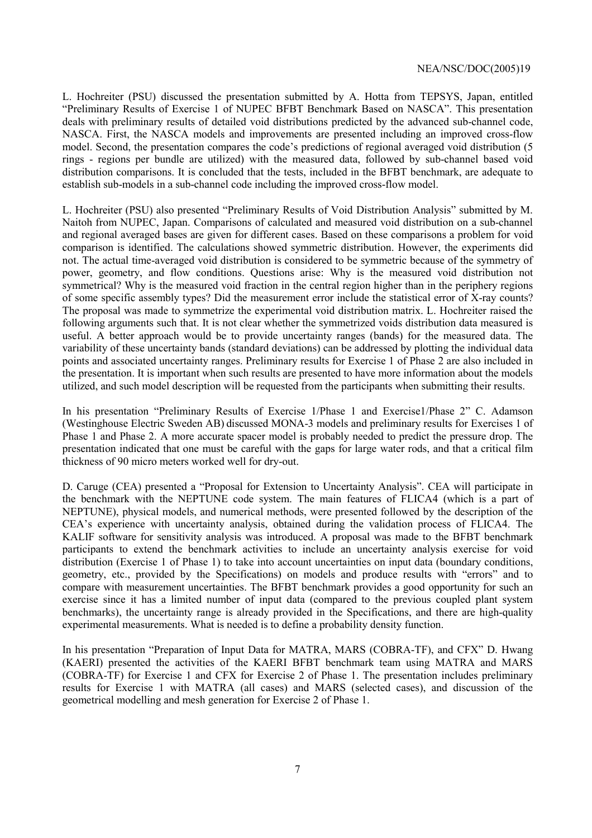L. Hochreiter (PSU) discussed the presentation submitted by A. Hotta from TEPSYS, Japan, entitled ìPreliminary Results of Exercise 1 of NUPEC BFBT Benchmark Based on NASCAî. This presentation deals with preliminary results of detailed void distributions predicted by the advanced sub-channel code, NASCA. First, the NASCA models and improvements are presented including an improved cross-flow model. Second, the presentation compares the code's predictions of regional averaged void distribution (5 rings - regions per bundle are utilized) with the measured data, followed by sub-channel based void distribution comparisons. It is concluded that the tests, included in the BFBT benchmark, are adequate to establish sub-models in a sub-channel code including the improved cross-flow model.

L. Hochreiter (PSU) also presented "Preliminary Results of Void Distribution Analysis" submitted by M. Naitoh from NUPEC, Japan. Comparisons of calculated and measured void distribution on a sub-channel and regional averaged bases are given for different cases. Based on these comparisons a problem for void comparison is identified. The calculations showed symmetric distribution. However, the experiments did not. The actual time-averaged void distribution is considered to be symmetric because of the symmetry of power, geometry, and flow conditions. Questions arise: Why is the measured void distribution not symmetrical? Why is the measured void fraction in the central region higher than in the periphery regions of some specific assembly types? Did the measurement error include the statistical error of X-ray counts? The proposal was made to symmetrize the experimental void distribution matrix. L. Hochreiter raised the following arguments such that. It is not clear whether the symmetrized voids distribution data measured is useful. A better approach would be to provide uncertainty ranges (bands) for the measured data. The variability of these uncertainty bands (standard deviations) can be addressed by plotting the individual data points and associated uncertainty ranges. Preliminary results for Exercise 1 of Phase 2 are also included in the presentation. It is important when such results are presented to have more information about the models utilized, and such model description will be requested from the participants when submitting their results.

In his presentation "Preliminary Results of Exercise 1/Phase 1 and Exercise1/Phase 2" C. Adamson (Westinghouse Electric Sweden AB) discussed MONA-3 models and preliminary results for Exercises 1 of Phase 1 and Phase 2. A more accurate spacer model is probably needed to predict the pressure drop. The presentation indicated that one must be careful with the gaps for large water rods, and that a critical film thickness of 90 micro meters worked well for dry-out.

D. Caruge (CEA) presented a "Proposal for Extension to Uncertainty Analysis". CEA will participate in the benchmark with the NEPTUNE code system. The main features of FLICA4 (which is a part of NEPTUNE), physical models, and numerical methods, were presented followed by the description of the CEAís experience with uncertainty analysis, obtained during the validation process of FLICA4. The KALIF software for sensitivity analysis was introduced. A proposal was made to the BFBT benchmark participants to extend the benchmark activities to include an uncertainty analysis exercise for void distribution (Exercise 1 of Phase 1) to take into account uncertainties on input data (boundary conditions, geometry, etc., provided by the Specifications) on models and produce results with "errors" and to compare with measurement uncertainties. The BFBT benchmark provides a good opportunity for such an exercise since it has a limited number of input data (compared to the previous coupled plant system benchmarks), the uncertainty range is already provided in the Specifications, and there are high-quality experimental measurements. What is needed is to define a probability density function.

In his presentation "Preparation of Input Data for MATRA, MARS (COBRA-TF), and CFX" D. Hwang (KAERI) presented the activities of the KAERI BFBT benchmark team using MATRA and MARS (COBRA-TF) for Exercise 1 and CFX for Exercise 2 of Phase 1. The presentation includes preliminary results for Exercise 1 with MATRA (all cases) and MARS (selected cases), and discussion of the geometrical modelling and mesh generation for Exercise 2 of Phase 1.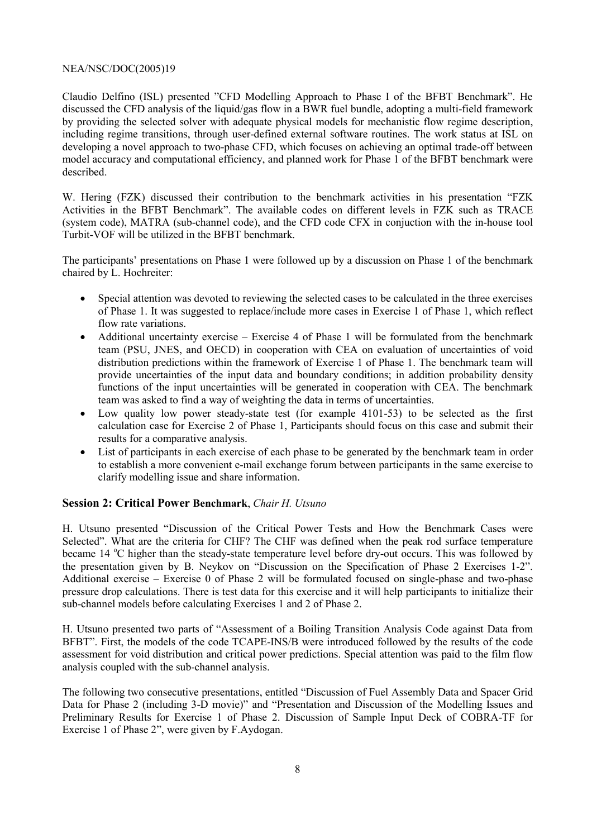Claudio Delfino (ISL) presented "CFD Modelling Approach to Phase I of the BFBT Benchmark". He discussed the CFD analysis of the liquid/gas flow in a BWR fuel bundle, adopting a multi-field framework by providing the selected solver with adequate physical models for mechanistic flow regime description, including regime transitions, through user-defined external software routines. The work status at ISL on developing a novel approach to two-phase CFD, which focuses on achieving an optimal trade-off between model accuracy and computational efficiency, and planned work for Phase 1 of the BFBT benchmark were described.

W. Hering (FZK) discussed their contribution to the benchmark activities in his presentation "FZK Activities in the BFBT Benchmark". The available codes on different levels in FZK such as TRACE (system code), MATRA (sub-channel code), and the CFD code CFX in conjuction with the in-house tool Turbit-VOF will be utilized in the BFBT benchmark.

The participants' presentations on Phase 1 were followed up by a discussion on Phase 1 of the benchmark chaired by L. Hochreiter:

- Special attention was devoted to reviewing the selected cases to be calculated in the three exercises of Phase 1. It was suggested to replace/include more cases in Exercise 1 of Phase 1, which reflect flow rate variations.
- Additional uncertainty exercise Exercise 4 of Phase 1 will be formulated from the benchmark team (PSU, JNES, and OECD) in cooperation with CEA on evaluation of uncertainties of void distribution predictions within the framework of Exercise 1 of Phase 1. The benchmark team will provide uncertainties of the input data and boundary conditions; in addition probability density functions of the input uncertainties will be generated in cooperation with CEA. The benchmark team was asked to find a way of weighting the data in terms of uncertainties.
- Low quality low power steady-state test (for example 4101-53) to be selected as the first calculation case for Exercise 2 of Phase 1, Participants should focus on this case and submit their results for a comparative analysis.
- List of participants in each exercise of each phase to be generated by the benchmark team in order to establish a more convenient e-mail exchange forum between participants in the same exercise to clarify modelling issue and share information.

# **Session 2: Critical Power Benchmark**, *Chair H. Utsuno*

H. Utsuno presented "Discussion of the Critical Power Tests and How the Benchmark Cases were Selected". What are the criteria for CHF? The CHF was defined when the peak rod surface temperature became 14 °C higher than the steady-state temperature level before dry-out occurs. This was followed by the presentation given by B. Neykov on "Discussion on the Specification of Phase 2 Exercises  $1-2$ ". Additional exercise – Exercise  $\theta$  of Phase 2 will be formulated focused on single-phase and two-phase pressure drop calculations. There is test data for this exercise and it will help participants to initialize their sub-channel models before calculating Exercises 1 and 2 of Phase 2.

H. Utsuno presented two parts of "Assessment of a Boiling Transition Analysis Code against Data from BFBT". First, the models of the code TCAPE-INS/B were introduced followed by the results of the code assessment for void distribution and critical power predictions. Special attention was paid to the film flow analysis coupled with the sub-channel analysis.

The following two consecutive presentations, entitled "Discussion of Fuel Assembly Data and Spacer Grid" Data for Phase 2 (including 3-D movie)" and "Presentation and Discussion of the Modelling Issues and Preliminary Results for Exercise 1 of Phase 2. Discussion of Sample Input Deck of COBRA-TF for Exercise 1 of Phase 2", were given by F.Aydogan.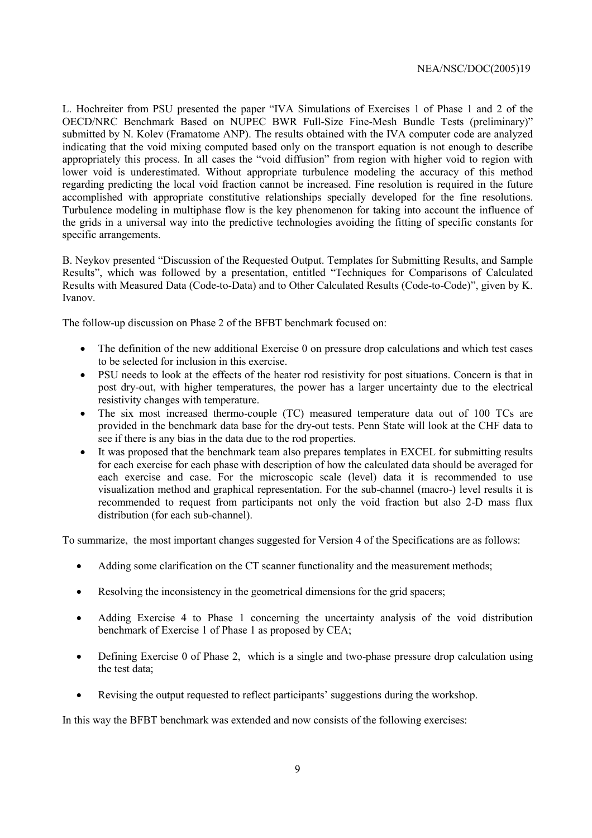L. Hochreiter from PSU presented the paper "IVA Simulations of Exercises 1 of Phase 1 and 2 of the OECD/NRC Benchmark Based on NUPEC BWR Full-Size Fine-Mesh Bundle Tests (preliminary)î submitted by N. Kolev (Framatome ANP). The results obtained with the IVA computer code are analyzed indicating that the void mixing computed based only on the transport equation is not enough to describe appropriately this process. In all cases the "void diffusion" from region with higher void to region with lower void is underestimated. Without appropriate turbulence modeling the accuracy of this method regarding predicting the local void fraction cannot be increased. Fine resolution is required in the future accomplished with appropriate constitutive relationships specially developed for the fine resolutions. Turbulence modeling in multiphase flow is the key phenomenon for taking into account the influence of the grids in a universal way into the predictive technologies avoiding the fitting of specific constants for specific arrangements.

B. Neykov presented "Discussion of the Requested Output. Templates for Submitting Results, and Sample Results", which was followed by a presentation, entitled "Techniques for Comparisons of Calculated Results with Measured Data (Code-to-Data) and to Other Calculated Results (Code-to-Code)", given by K. Ivanov.

The follow-up discussion on Phase 2 of the BFBT benchmark focused on:

- The definition of the new additional Exercise 0 on pressure drop calculations and which test cases to be selected for inclusion in this exercise.
- PSU needs to look at the effects of the heater rod resistivity for post situations. Concern is that in post dry-out, with higher temperatures, the power has a larger uncertainty due to the electrical resistivity changes with temperature.
- The six most increased thermo-couple (TC) measured temperature data out of 100 TCs are provided in the benchmark data base for the dry-out tests. Penn State will look at the CHF data to see if there is any bias in the data due to the rod properties.
- It was proposed that the benchmark team also prepares templates in EXCEL for submitting results for each exercise for each phase with description of how the calculated data should be averaged for each exercise and case. For the microscopic scale (level) data it is recommended to use visualization method and graphical representation. For the sub-channel (macro-) level results it is recommended to request from participants not only the void fraction but also 2-D mass flux distribution (for each sub-channel).

To summarize, the most important changes suggested for Version 4 of the Specifications are as follows:

- Adding some clarification on the CT scanner functionality and the measurement methods;
- Resolving the inconsistency in the geometrical dimensions for the grid spacers;
- Adding Exercise 4 to Phase 1 concerning the uncertainty analysis of the void distribution benchmark of Exercise 1 of Phase 1 as proposed by CEA;
- Defining Exercise 0 of Phase 2, which is a single and two-phase pressure drop calculation using the test data;
- Revising the output requested to reflect participants' suggestions during the workshop.

In this way the BFBT benchmark was extended and now consists of the following exercises: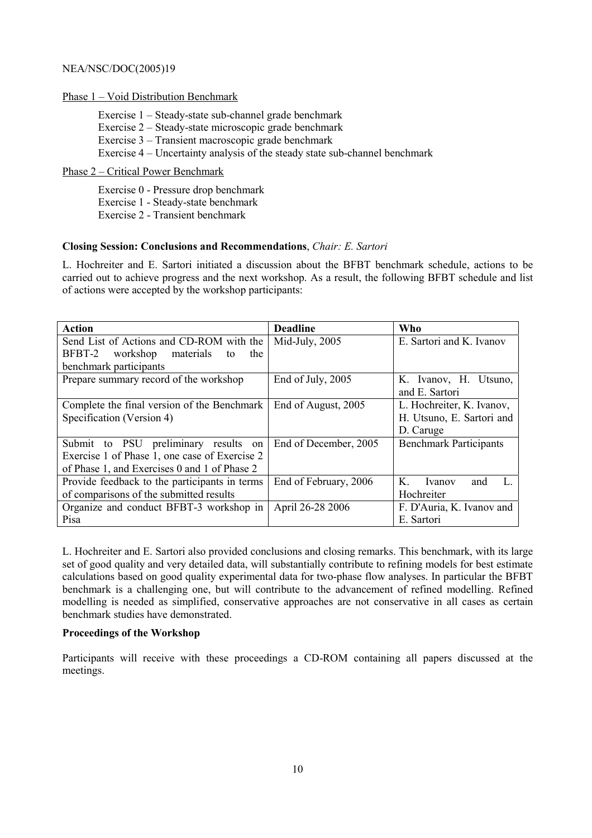# Phase  $1 -$ Void Distribution Benchmark

Exercise  $1 - Steady-state sub-channel grade benchmark$ Exercise  $2 - Steadv-state$  microscopic grade benchmark Exercise  $3 -$ Transient macroscopic grade benchmark Exercise  $4$  – Uncertainty analysis of the steady state sub-channel benchmark

# Phase 2 – Critical Power Benchmark

Exercise 0 - Pressure drop benchmark Exercise 1 - Steady-state benchmark Exercise 2 - Transient benchmark

# **Closing Session: Conclusions and Recommendations**, *Chair: E. Sartori*

L. Hochreiter and E. Sartori initiated a discussion about the BFBT benchmark schedule, actions to be carried out to achieve progress and the next workshop. As a result, the following BFBT schedule and list of actions were accepted by the workshop participants:

| <b>Action</b>                                 | <b>Deadline</b>       | Who                            |
|-----------------------------------------------|-----------------------|--------------------------------|
| Send List of Actions and CD-ROM with the      | Mid-July, 2005        | E. Sartori and K. Ivanov       |
| BFBT-2 workshop<br>materials<br>to<br>the     |                       |                                |
| benchmark participants                        |                       |                                |
| Prepare summary record of the workshop        | End of July, 2005     | K. Ivanov, H. Utsuno,          |
|                                               |                       | and E. Sartori                 |
| Complete the final version of the Benchmark   | End of August, 2005   | L. Hochreiter, K. Ivanov,      |
| Specification (Version 4)                     |                       | H. Utsuno, E. Sartori and      |
|                                               |                       | D. Caruge                      |
| Submit to PSU preliminary results on          | End of December, 2005 | <b>Benchmark Participants</b>  |
| Exercise 1 of Phase 1, one case of Exercise 2 |                       |                                |
| of Phase 1, and Exercises 0 and 1 of Phase 2  |                       |                                |
| Provide feedback to the participants in terms | End of February, 2006 | K<br>L<br><i>Ivanov</i><br>and |
| of comparisons of the submitted results       |                       | Hochreiter                     |
| Organize and conduct BFBT-3 workshop in       | April 26-28 2006      | F. D'Auria, K. Ivanov and      |
| Pisa                                          |                       | E. Sartori                     |

L. Hochreiter and E. Sartori also provided conclusions and closing remarks. This benchmark, with its large set of good quality and very detailed data, will substantially contribute to refining models for best estimate calculations based on good quality experimental data for two-phase flow analyses. In particular the BFBT benchmark is a challenging one, but will contribute to the advancement of refined modelling. Refined modelling is needed as simplified, conservative approaches are not conservative in all cases as certain benchmark studies have demonstrated.

# **Proceedings of the Workshop**

Participants will receive with these proceedings a CD-ROM containing all papers discussed at the meetings.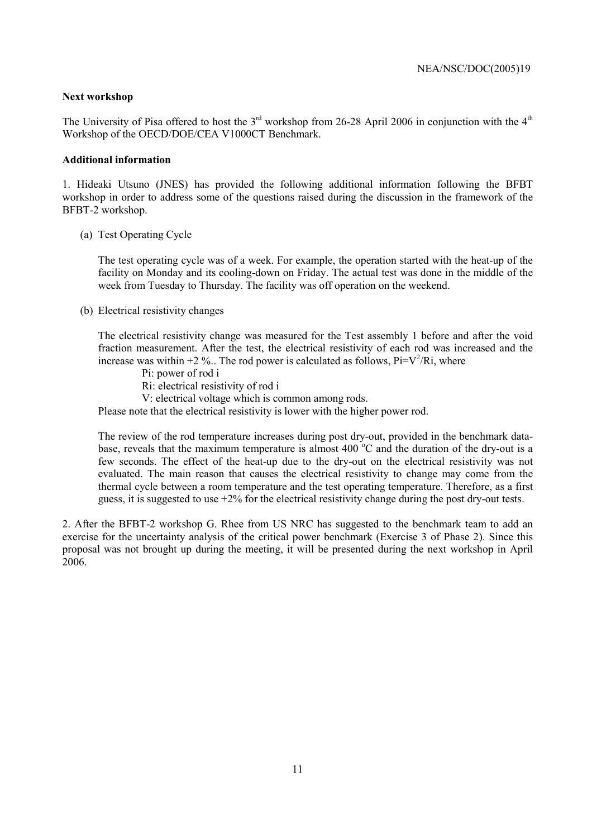# **Next workshop**

The University of Pisa offered to host the  $3<sup>rd</sup>$  workshop from 26-28 April 2006 in conjunction with the  $4<sup>th</sup>$ Workshop of the OECD/DOE/CEA V1000CT Benchmark.

## **Additional information**

1. Hideaki Utsuno (JNES) has provided the following additional information following the BFBT workshop in order to address some of the questions raised during the discussion in the framework of the BFBT-2 workshop.

# (a) Test Operating Cycle

The test operating cycle was of a week. For example, the operation started with the heat-up of the facility on Monday and its cooling-down on Friday. The actual test was done in the middle of the week from Tuesday to Thursday. The facility was off operation on the weekend.

(b) Electrical resistivity changes

The electrical resistivity change was measured for the Test assembly 1 before and after the void fraction measurement. After the test, the electrical resistivity of each rod was increased and the increase was within  $+2\%$ .. The rod power is calculated as follows, Pi=V<sup>2</sup>/Ri, where

Pi: power of rod i

Ri: electrical resistivity of rod i

V: electrical voltage which is common among rods.

Please note that the electrical resistivity is lower with the higher power rod.

The review of the rod temperature increases during post dry-out, provided in the benchmark database, reveals that the maximum temperature is almost  $400^{\circ}$ C and the duration of the dry-out is a few seconds. The effect of the heat-up due to the dry-out on the electrical resistivity was not evaluated. The main reason that causes the electrical resistivity to change may come from the thermal cycle between a room temperature and the test operating temperature. Therefore, as a first guess, it is suggested to use  $+2\%$  for the electrical resistivity change during the post dry-out tests.

2. After the BFBT-2 workshop G. Rhee from US NRC has suggested to the benchmark team to add an exercise for the uncertainty analysis of the critical power benchmark (Exercise 3 of Phase 2). Since this proposal was not brought up during the meeting, it will be presented during the next workshop in April 2006.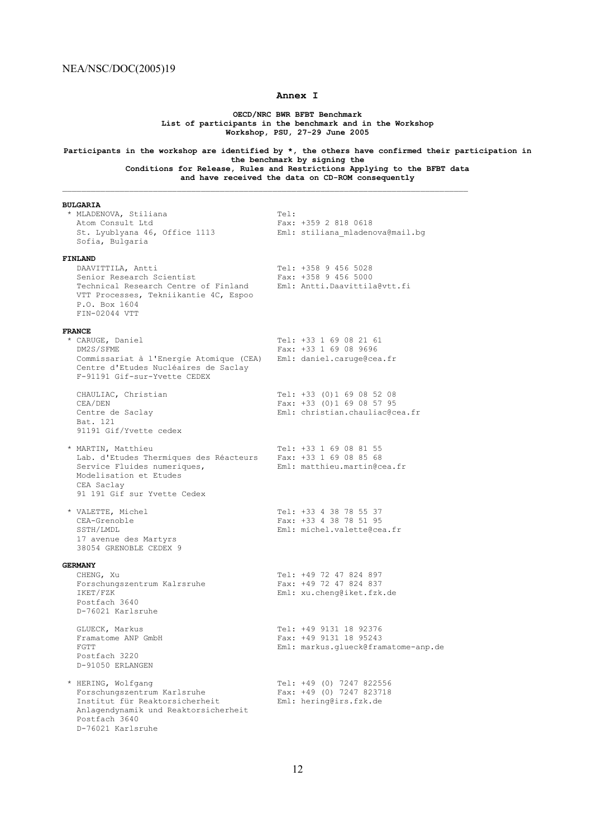#### **Annex I**

**OECD/NRC BWR BFBT Benchmark List of participants in the benchmark and in the Workshop Workshop, PSU, 27-29 June 2005** 

**Participants in the workshop are identified by \*, the others have confirmed their participation in the benchmark by signing the Conditions for Release, Rules and Restrictions Applying to the BFBT data** 

**and have received the data on CD-ROM consequently**

 $\mathcal{L}_\text{max}$ 

#### **BULGARIA**

| * MLADENOVA, Stiliana<br>Atom Consult Ltd<br>St. Lyublyana 46, Office 1113<br>Sofia, Bulgaria                                                                                | Tel:<br>Fax: +359 2 818 0618<br>Eml: stiliana mladenova@mail.bq                          |
|------------------------------------------------------------------------------------------------------------------------------------------------------------------------------|------------------------------------------------------------------------------------------|
| FINLAND<br>DAAVITTILA, Antti<br>Senior Research Scientist<br>Technical Research Centre of Finland<br>VTT Processes, Tekniikantie 4C, Espoo<br>P.O. Box 1604<br>FIN-02044 VTT | Tel: +358 9 456 5028<br>Fax: +358 9 456 5000<br>Eml: Antti.Daavittila@vtt.fi             |
| <b>FRANCE</b><br>* CARUGE, Daniel<br>DM2S/SFME<br>Commissariat à l'Energie Atomique (CEA)<br>Centre d'Etudes Nucléaires de Saclay<br>F-91191 Gif-sur-Yvette CEDEX            | Tel: +33 1 69 08 21 61<br>Fax: +33 1 69 08 9696<br>Eml: daniel.caruge@cea.fr             |
| CHAULIAC, Christian<br>CEA/DEN<br>Centre de Saclay<br>Bat. 121<br>91191 Gif/Yvette cedex                                                                                     | Tel: +33 (0)1 69 08 52 08<br>Fax: +33 (0)1 69 08 57 95<br>Eml: christian.chauliac@cea.fr |
| * MARTIN, Matthieu<br>Lab. d'Etudes Thermiques des Réacteurs<br>Service Fluides numeriques,<br>Modelisation et Etudes<br>CEA Saclay<br>91 191 Gif sur Yvette Cedex           | Tel: +33 1 69 08 81 55<br>Fax: +33 1 69 08 85 68<br>Eml: matthieu.martin@cea.fr          |
| * VALETTE, Michel<br>CEA-Grenoble<br>SSTH/LMDL<br>17 avenue des Martyrs<br>38054 GRENOBLE CEDEX 9                                                                            | Tel: +33 4 38 78 55 37<br>Fax: +33 4 38 78 51 95<br>Eml: michel.valette@cea.fr           |
| <b>GERMANY</b><br>CHENG, Xu<br>Forschungszentrum Kalrsruhe<br>IKET/FZK<br>Postfach 3640<br>D-76021 Karlsruhe                                                                 | Tel: +49 72 47 824 897<br>Fax: +49 72 47 824 837<br>Eml: xu.cheng@iket.fzk.de            |
| GLUECK, Markus<br>Framatome ANP GmbH<br>FGTT<br>Postfach 3220<br>D-91050 ERLANGEN                                                                                            | Tel: +49 9131 18 92376<br>Fax: +49 9131 18 95243<br>Eml: markus.glueck@framatome-anp.de  |
| * HERING, Wolfgang<br>Forschungszentrum Karlsruhe<br>Institut für Reaktorsicherheit<br>Anlagendynamik und Reaktorsicherheit<br>Postfach 3640<br>D-76021 Karlsruhe            | Tel: +49 (0) 7247 822556<br>Fax: +49 (0) 7247 823718<br>Eml: hering@irs.fzk.de           |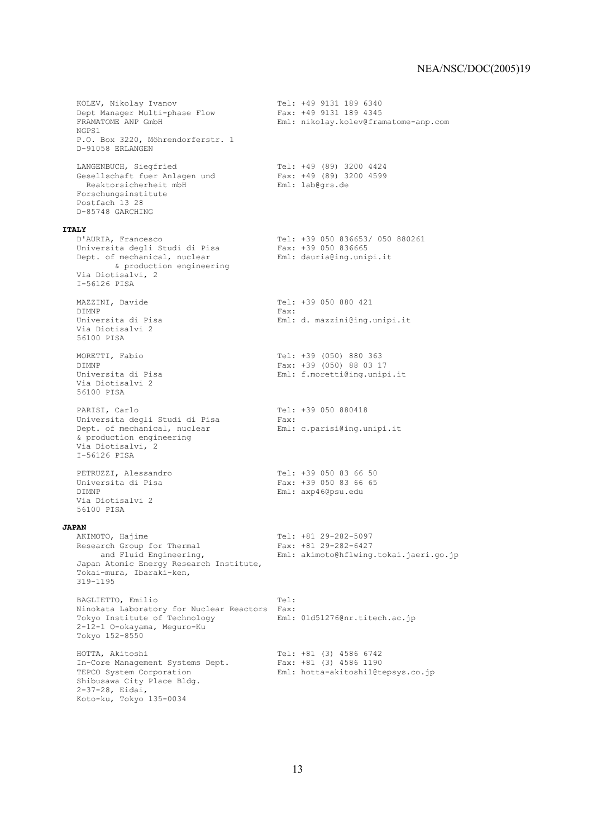```
 KOLEV, Nikolay Ivanov Tel: +49 9131 189 6340 
 Dept Manager Multi-phase Flow Fax: +49 9131 189 4345 
  Pept Manager Multi-phase Flow Fax: +49 9131 189 4345<br>FRAMATOME ANP GmbH Eml: nikolay.kolev@framatome-anp.com
   NGPS1 
  P.O. Box 3220, Möhrendorferstr. 1
   D-91058 ERLANGEN 
 LANGENBUCH, Siegfried Tel: +49 (89) 3200 4424 
 Gesellschaft fuer Anlagen und Fax: +49 (89) 3200 4599 
Reaktorsicherheit mbH Bender Eml: lab@grs.de
 Forschungsinstitute 
   Postfach 13 28 
   D-85748 GARCHING 
ITALY<br>D'AURIA, Francesco
                                     Tel: +39 050 836653/ 050 880261<br>Fax: +39 050 836665<br>Eml: dauria@ing.unipi.it
  Universita degli Studi di Pisa<br>Universita degli Studi di Pisa<br>Port of mechanical auglesr
  Dept. of mechanical, nuclear
         & production engineering 
   Via Diotisalvi, 2 
   I-56126 PISA 
  MAZZINI, Davide T = 1: +39 050 880 421DIMNP Fax:
   Universita di Pisa Eml: d. mazzini@ing.unipi.it 
   Via Diotisalvi 2 
   56100 PISA 
   MORETTI, Fabio Tel: +39 (050) 880 363 
  DIMNP<br>
Universita di Pisa<br>
Universita di Pisa<br>
Eml: f.moretti@ing.unip
                                        Eml: f.moretti@ing.unipi.it
   Via Diotisalvi 2 
   56100 PISA 
PARISI, Carlo Tel: +39 050 880418
 Universita degli Studi di Pisa Fax: 
Dept. of mechanical, nuclear Fml: c.parisi@ing.unipi.it
   & production engineering 
   Via Diotisalvi, 2 
   I-56126 PISA 
  PETRUZZI, Alessandro Tel: +39 050 83 66 50<br>
Universita di Pisa Tax: +39 050 83 66 65
                                        Fax: +39 050 83 66 65
   DIMNP Eml: axp46@psu.edu 
   Via Diotisalvi 2 
   56100 PISA 
JAPAN<br>AKIMOTO, Hajime
 AKIMOTO, Hajime Tel: +81 29-282-5097 
Research Group for Thermal Fax: +81 29-282-6427
       and Fluid Engineering, Eml: akimoto@hflwing.tokai.jaeri.go.jp 
   Japan Atomic Energy Research Institute, 
   Tokai-mura, Ibaraki-ken, 
   319-1195 
BAGLIETTO, Emilio Tel:
 Ninokata Laboratory for Nuclear Reactors Fax: 
 Tokyo Institute of Technology Eml: 01d51276@nr.titech.ac.jp 
   2-12-1 O-okayama, Meguro-Ku 
   Tokyo 152-8550 
 HOTTA, Akitoshi Tel: +81 (3) 4586 6742 
 In-Core Management Systems Dept. Fax: +81 (3) 4586 1190 
 TEPCO System Corporation Eml: hotta-akitoshi1@tepsys.co.jp 
  TEPCO System Corporation<br>Shibusawa City Place Bldg.
   2-37-28, Eidai, 
   Koto-ku, Tokyo 135-0034
```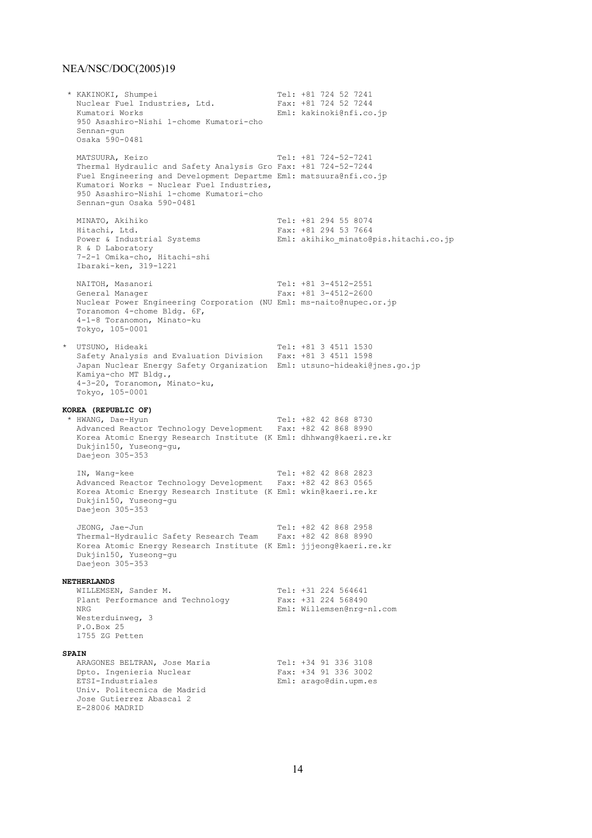\* KAKINOKI, Shumpei Tel: +81 724 52 7241 Nuclear Fuel Industries, Ltd.<br>Kumatori Works Eml: kakinoki@nfi.co.jp 950 Asashiro-Nishi 1-chome Kumatori-cho Sennan-gun Osaka 590-0481 MATSUURA, Keizo Tel: +81 724-52-7241 Thermal Hydraulic and Safety Analysis Gro Fax: +81 724-52-7244 Fuel Engineering and Development Departme Eml: matsuura@nfi.co.jp Kumatori Works - Nuclear Fuel Industries, 950 Asashiro-Nishi 1-chome Kumatori-cho Sennan-gun Osaka 590-0481 MINATO, Akihiko 1999 (El: +81 294 55 8074<br>Hitachi, Ltd. 1994 53 7664 Hitachi, Ltd.<br>Hitachi, Ltd.<br>Power & Industrial Systems Eml: akihiko minato@pis.hitachi.co.jp R & D Laboratory 7-2-1 Omika-cho, Hitachi-shi Ibaraki-ken, 319-1221 NAITOH, Masanori 1988 1991 12: +81 3-4512-2551<br>General Manager 1988 12: +81 3-4512-2600 Fax:  $+81$  3-4512-2600 Nuclear Power Engineering Corporation (NU Eml: ms-naito@nupec.or.jp Toranomon 4-chome Bldg. 6F, 4-1-8 Toranomon, Minato-ku Tokyo, 105-0001 \* UTSUNO, Hideaki Tel: +81 3 4511 1530 Safety Analysis and Evaluation Division Fax: +81 3 4511 1598 Japan Nuclear Energy Safety Organization Eml: utsuno-hideaki@jnes.go.jp Kamiya-cho MT Bldg., 4-3-20, Toranomon, Minato-ku, Tokyo, 105-0001 **KOREA (REPUBLIC OF)**<br>\* HWANG, Dae-Hyun \* HWANG, Dae-Hyun Tel: +82 42 868 8730 Advanced Reactor Technology Development Fax: +82 42 868 8990 Korea Atomic Energy Research Institute (K Eml: dhhwang@kaeri.re.kr Dukjin150, Yuseong-gu, Daejeon 305-353 IN, Wang-kee Tel: +82 42 868 2823 Advanced Reactor Technology Development Fax: +82 42 863 0565 Korea Atomic Energy Research Institute (K Eml: wkin@kaeri.re.kr Dukjin150, Yuseong-gu Daejeon 305-353 JEONG, Jae-Jun Tel: +82 42 868 2958 Thermal-Hydraulic Safety Research Team Fax: +82 42 868 8990 Korea Atomic Energy Research Institute (K Eml: jjjeong@kaeri.re.kr Dukjin150, Yuseong-gu Daejeon 305-353 **NETHERLANDS** WILLEMSEN, Sander M. Tel: +31 224 564641 Plant Performance and Technology Fax: +31 224 568490 NRG Eml: Willemsen@nrg-nl.com Westerduinweg, 3 P.O.Box 25 1755 ZG Petten **SPAIN** ARAGONES BELTRAN, Jose Maria Tel: +34 91 336 3108 Dpto. Ingenieria Nuclear Fax: +34 91 336 3002<br>ETSI-Industriales Fax: +34 91 336 3002 Eml: arago@din.upm.es Univ. Politecnica de Madrid Jose Gutierrez Abascal 2 E-28006 MADRID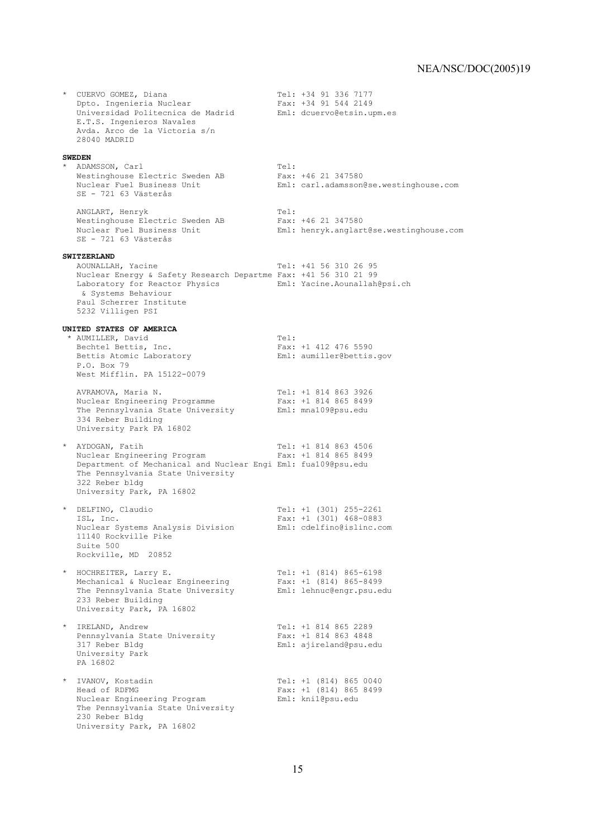\* CUERVO GOMEZ, Diana Tel: +34 91 336 7177 Dpto. Ingenieria Nuclear Fax: +34 91 544 2149 Universidad Politecnica de Madrid Eml: dcuervo@etsin.upm.es E.T.S. Ingenieros Navales Avda. Arco de la Victoria s/n 28040 MADRID **SWEDEN** \* ADAMSSON, Carl<br>Westinghouse Electric Sweden AB Fax: +46 21 347580 Westinghouse Electric Sweden AB Fax: +46 21 347580 Nuclear Fuel Business Unit Eml: carl.adamsson@se.westinghouse.com SE - 721 63 Västerås ANGLART, Henryk Tel: Westinghouse Electric Sweden AB Fax: +46 21 347580 Nuclear Fuel Business Unit Eml: henryk.anglart@se.westinghouse.com  $SR - 721$  63 Västerås **SWITZERLAND**<br>AOUNALLAH, Yacine Tel: +41 56 310 26 95 Nuclear Energy & Safety Research Departme Fax: +41 56 310 21 99 Laboratory for Reactor Physics Eml: Yacine.Aounallah@psi.ch & Systems Behaviour Paul Scherrer Institute 5232 Villigen PSI **UNITED STATES OF AMERICA** \* AUMILLER, David Tel:<br>Bechtel Bettis, Inc. Tax: Fax:  $Fast: +1 412 476 5590$ Bettis Atomic Laboratory **Eml:** aumiller@bettis.gov P.O. Box 79 West Mifflin. PA 15122-0079 AVRAMOVA, Maria N. Tel: +1 814 863 3926 Nuclear Engineering Programme Fax: +1 814 865 8499 The Pennsylvania State University Eml: mna109@psu.edu 334 Reber Building University Park PA 16802 \* AYDOGAN, Fatih Tel: +1 814 863 4506 Nuclear Engineering Program Fax: +1 814 865 8499 Department of Mechanical and Nuclear Engi Eml: fua109@psu.edu The Pennsylvania State University 322 Reber bldg University Park, PA 16802 \* DELFINO, Claudio Tel: +1 (301) 255-2261 ISL, Inc. Fax: +1 (301) 468-0883 Nuclear Systems Analysis Division Eml: cdelfino@islinc.com 11140 Rockville Pike Suite 500 Rockville, MD 20852 \* HOCHREITER, Larry E. Tel: +1 (814) 865-6198 Mechanical & Nuclear Engineering Fax: +1 (814) 865-8499 The Pennsylvania State University Eml: lehnuc@engr.psu.edu 233 Reber Building University Park, PA 16802 \* IRELAND, Andrew Tel: +1 814 865 2289 Pennsylvania State University<br>317 Reber Bldg Eml: ajireland@psu.edu University Park PA 16802 \* IVANOV, Kostadin Tel: +1 (814) 865 0040 Head of RDFMG Fax: +1 (814) 865 8499 Nuclear Engineering Program Eml: kni1@psu.edu The Pennsylvania State University 230 Reber Bldg University Park, PA 16802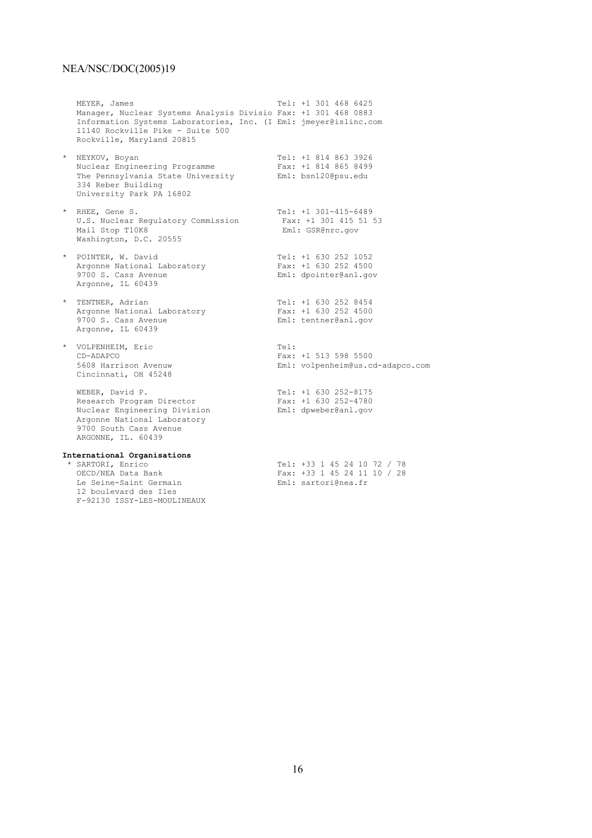12 boulevard des Iles F-92130 ISSY-LES-MOULINEAUX

MEYER, James Tel: +1 301 468 6425 Manager, Nuclear Systems Analysis Divisio Fax: +1 301 468 0883 Information Systems Laboratories, Inc. (I Eml: jmeyer@islinc.com 11140 Rockville Pike - Suite 500 Rockville, Maryland 20815 \* NEYKOV, Boyan Tel: +1 814 863 3926 Nuclear Engineering Programme Fax: +1 814 865 8499 The Pennsylvania State University Eml: bsn120@psu.edu 334 Reber Building University Park PA 16802 \* RHEE, Gene S. Tel: +1 301-415-6489 U.S. Nuclear Regulatory Commission Fax: +1 301 415 51 53 Mail Stop T10K8 **Eml:** GSR@nrc.gov Washington, D.C. 20555 \* POINTER, W. David \* POINTER, W. David Tel: +1 630 252 1052 Argonne National Laboratory Fax: +1 630 252 4500 9700 S. Cass Avenue **Eml:** dpointer@anl.gov Argonne, IL 60439 \* TENTNER, Adrian Tel: +1 630 252 8454 Argonne National Laboratory Fax: +1 630 252 4500 9700 S. Cass Avenue entry Eml: tentner@anl.gov Argonne, IL 60439 \* VOLPENHEIM, Eric Tel: CD-ADAPCO Fax: +1 513 598 5500 5608 Harrison Avenuw Eml: volpenheim@us.cd-adapco.com Cincinnati, OH 45248 WEBER, David P.<br>
Research Program Director<br>
Fax: +1 630 252-4780 Research Program Director Fax: +1 630 252-4780 Nuclear Engineering Division Eml: dpweber@anl.gov Argonne National Laboratory 9700 South Cass Avenue ARGONNE, IL. 60439 **International Organisations** \* SARTORI, Enrico Tel: +33 1 45 24 10 72 / 78 Fax:  $+33$  1 45 24 11 10 / 28<br>Eml: sartori@nea.fr Le Seine-Saint Germain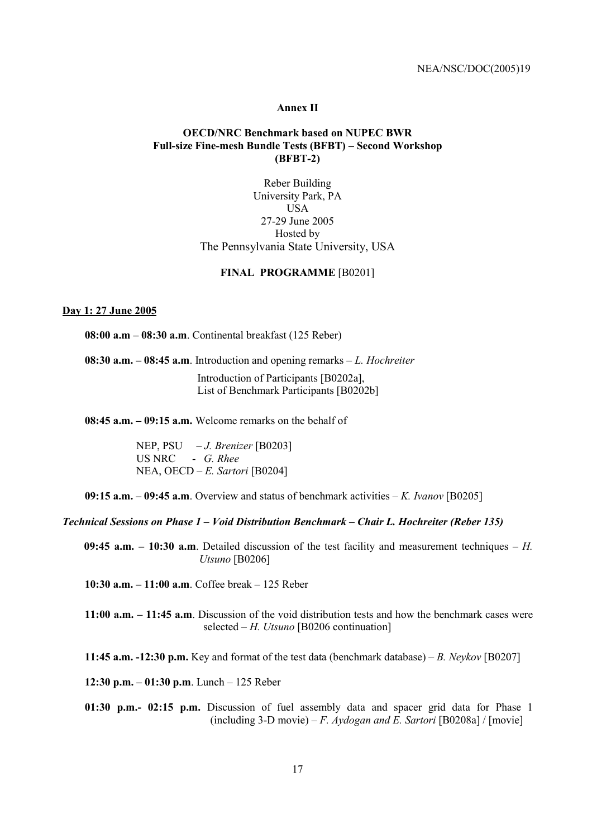#### **Annex II**

## **OECD/NRC Benchmark based on NUPEC BWR**  Full-size Fine-mesh Bundle Tests (BFBT) – Second Workshop **(BFBT-2)**

Reber Building University Park, PA USA 27-29 June 2005 Hosted by The Pennsylvania State University, USA

#### **FINAL PROGRAMME** [B0201]

# **Day 1: 27 June 2005**

**08:00 a.m – 08:30 a.m.** Continental breakfast (125 Reber)

**08:30 a.m.**  $-$  **08:45 a.m**. Introduction and opening remarks  $-L$ . *Hochreiter* 

Introduction of Participants [B0202a], List of Benchmark Participants [B0202b]

 $08:45$  a.m.  $-09:15$  a.m. Welcome remarks on the behalf of

NEP, PSU – *J. Brenizer* [B0203] US NRC - *G. Rhee* NEA, OECD – *E. Sartori* [B0204]

**09:15 a.m.**  $-$  **09:45 a.m**. Overview and status of benchmark activities  $-$  *K. Ivanov* [B0205]

#### *Technical Sessions on Phase 1 – Void Distribution Benchmark – Chair L. Hochreiter (Reber 135)*

**09:45 a.m.**  $-$  **10:30 a.m**. Detailed discussion of the test facility and measurement techniques  $-$  *H*. *Utsuno* [B0206]

**10:30 a.m.**  $-11:00$  **a.m**. Coffee break  $-125$  Reber

**11:00 a.m.** – **11:45 a.m**. Discussion of the void distribution tests and how the benchmark cases were selected  $-H$ . *Utsuno* [B0206 continuation]

**11:45 a.m. -12:30 p.m.** Key and format of the test data (benchmark database) – B. Neykov [B0207]

**12:30 p.m.**  $-01:30$  p.m. Lunch  $-125$  Reber

**01:30 p.m.- 02:15 p.m.** Discussion of fuel assembly data and spacer grid data for Phase 1 (including 3-D movie) – *F. Aydogan and E. Sartori* [B0208a] / [movie]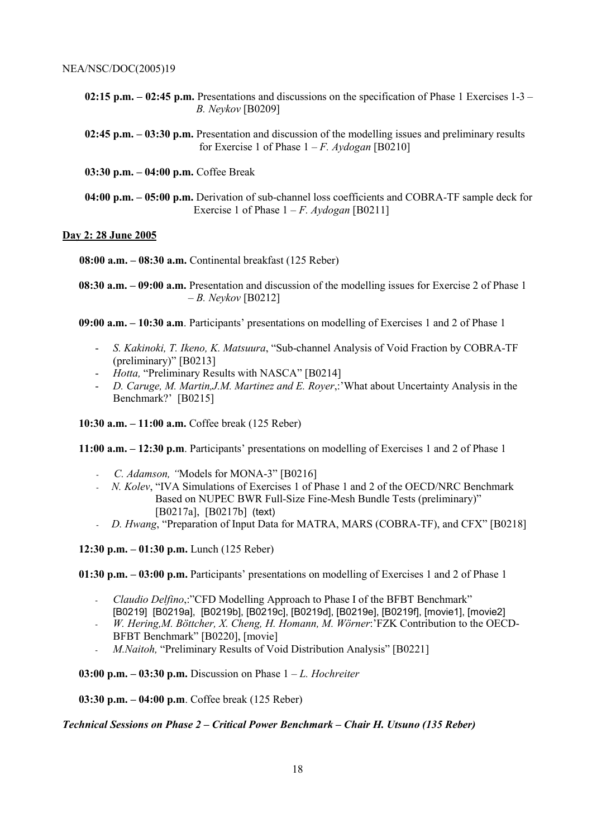**02:15 p.m.**  $-$  **02:45 p.m.** Presentations and discussions on the specification of Phase 1 Exercises 1-3  $-$ *B. Neykov* [B0209]

**02:45 p.m. – 03:30 p.m.** Presentation and discussion of the modelling issues and preliminary results for Exercise 1 of Phase  $1 - F$ . Aydogan [B0210]

**03:30 p.m. – 04:00 p.m.** Coffee Break

**04:00 p.m. – 05:00 p.m.** Derivation of sub-channel loss coefficients and COBRA-TF sample deck for Exercise 1 of Phase  $1 - F$ . *Aydogan* [B0211]

## **Day 2: 28 June 2005**

**08:00 a.m. – 08:30 a.m.** Continental breakfast (125 Reber)

**08:30 a.m. – 09:00 a.m.** Presentation and discussion of the modelling issues for Exercise 2 of Phase 1 ñ *B. Neykov* [B0212]

**09:00 a.m. – 10:30 a.m.** Participants' presentations on modelling of Exercises 1 and 2 of Phase 1

- *S. Kakinoki, T. Ikeno, K. Matsuura*, "Sub-channel Analysis of Void Fraction by COBRA-TF  $(\text{preliminary})$ <sup>"</sup> [B0213]
- *Hotta*, "Preliminary Results with NASCA" [B0214]
- *D. Caruge, M. Martin, J.M. Martinez and E. Royer*,:'What about Uncertainty Analysis in the Benchmark?' [B0215]

**10:30 a.m. – 11:00 a.m.** Coffee break (125 Reber)

**11:00 a.m. – 12:30 p.m**. Participants' presentations on modelling of Exercises 1 and 2 of Phase 1

- *C. Adamson,* "Models for MONA-3" [B0216]
- *N. Kolev*, "IVA Simulations of Exercises 1 of Phase 1 and 2 of the OECD/NRC Benchmark Based on NUPEC BWR Full-Size Fine-Mesh Bundle Tests (preliminary)" [B0217a], [B0217b] (text)
- *D. Hwang*, "Preparation of Input Data for MATRA, MARS (COBRA-TF), and CFX" [B0218]

**12:30 p.m.**  $-01:30$  p.m. Lunch (125 Reber)

**01:30 p.m.**  $-$  **03:00 p.m.** Participants' presentations on modelling of Exercises 1 and 2 of Phase 1

- *Claudio Delfino*,:<sup>"</sup>CFD Modelling Approach to Phase I of the BFBT Benchmark" [B0219] [B0219a], [B0219b], [B0219c], [B0219d], [B0219e], [B0219f], [movie1], [movie2]
- W. Hering, M. Böttcher, X. Cheng, H. Homann, M. Wörner: <sup>'</sup>FZK Contribution to the OECD-BFBT Benchmark" [B0220], [movie]
- *M.Naitoh,* "Preliminary Results of Void Distribution Analysis" [B0221]

**03:00 p.m.**  $-$  **03:30 p.m.** Discussion on Phase  $1 - L$ . *Hochreiter* 

**03:30 p.m.**  $-$  **04:00 p.m**. Coffee break (125 Reber)

*Technical Sessions on Phase 2 – Critical Power Benchmark – Chair H. Utsuno (135 Reber)*